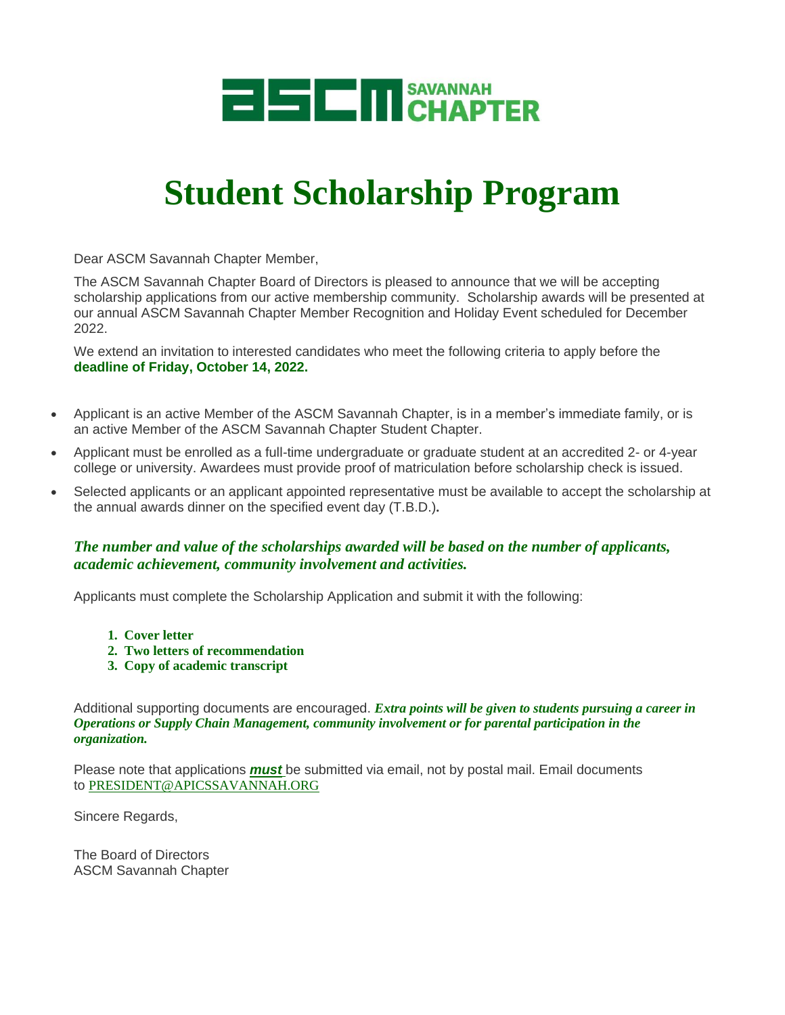

# **Student Scholarship Program**

Dear ASCM Savannah Chapter Member,

The ASCM Savannah Chapter Board of Directors is pleased to announce that we will be accepting scholarship applications from our active membership community. Scholarship awards will be presented at our annual ASCM Savannah Chapter Member Recognition and Holiday Event scheduled for December 2022.

We extend an invitation to interested candidates who meet the following criteria to apply before the **deadline of Friday, October 14, 2022.**

- Applicant is an active Member of the ASCM Savannah Chapter, is in a member's immediate family, or is an active Member of the ASCM Savannah Chapter Student Chapter.
- Applicant must be enrolled as a full-time undergraduate or graduate student at an accredited 2- or 4-year college or university. Awardees must provide proof of matriculation before scholarship check is issued.
- Selected applicants or an applicant appointed representative must be available to accept the scholarship at the annual awards dinner on the specified event day (T.B.D.)**.**

### *The number and value of the scholarships awarded will be based on the number of applicants, academic achievement, community involvement and activities.*

Applicants must complete the Scholarship Application and submit it with the following:

- **1. Cover letter**
- **2. Two letters of recommendation**
- **3. Copy of academic transcript**

Additional supporting documents are encouraged. *Extra points will be given to students pursuing a career in Operations or Supply Chain Management, community involvement or for parental participation in the organization.*

Please note that applications *must* be submitted via email, not by postal mail. Email documents to [PRESIDENT@APICSSAVANNAH.ORG](mailto:president@apicssavannah.org)

Sincere Regards,

The Board of Directors ASCM Savannah Chapter